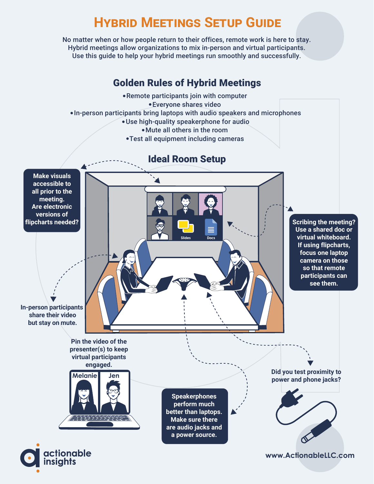## **HYBRID MEETINGS SETUP GUIDE**

No matter when or how people return to their offices, remote work is here to stay. Hybrid meetings allow organizations to mix in-person and virtual participants. Use this guide to help your hybrid meetings run smoothly and successfully.